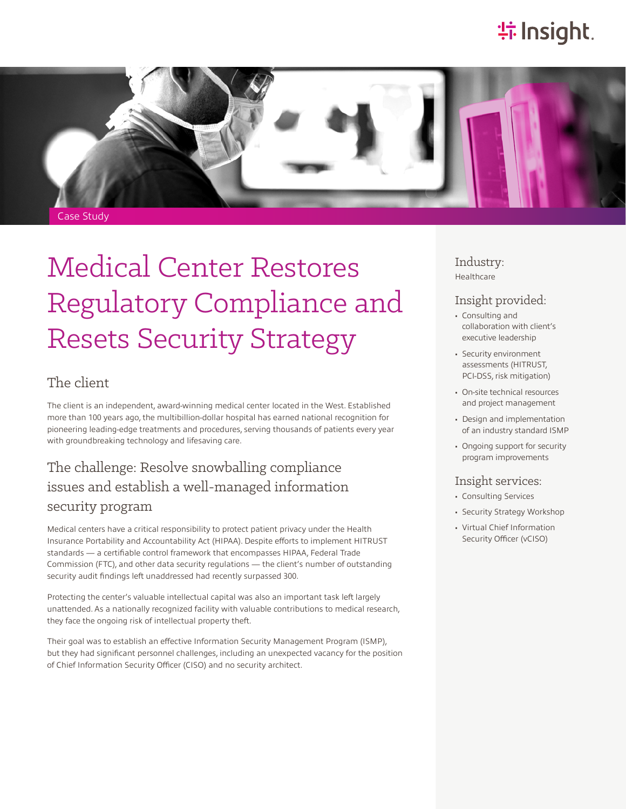# **特Insight**



# Medical Center Restores Regulatory Compliance and Resets Security Strategy

#### The client

The client is an independent, award-winning medical center located in the West. Established more than 100 years ago, the multibillion-dollar hospital has earned national recognition for pioneering leading-edge treatments and procedures, serving thousands of patients every year with groundbreaking technology and lifesaving care.

### The challenge: Resolve snowballing compliance issues and establish a well-managed information security program

Medical centers have a critical responsibility to protect patient privacy under the Health Insurance Portability and Accountability Act (HIPAA). Despite efforts to implement HITRUST standards — a certifiable control framework that encompasses HIPAA, Federal Trade Commission (FTC), and other data security regulations — the client's number of outstanding security audit findings left unaddressed had recently surpassed 300.

Protecting the center's valuable intellectual capital was also an important task left largely unattended. As a nationally recognized facility with valuable contributions to medical research, they face the ongoing risk of intellectual property theft.

Their goal was to establish an effective Information Security Management Program (ISMP), but they had significant personnel challenges, including an unexpected vacancy for the position of Chief Information Security Officer (CISO) and no security architect.

Industry: Healthcare

#### Insight provided:

- Consulting and collaboration with client's executive leadership
- Security environment assessments (HITRUST, PCI-DSS, risk mitigation)
- On-site technical resources and project management
- Design and implementation of an industry standard ISMP
- Ongoing support for security program improvements

#### Insight services:

- Consulting Services
- Security Strategy Workshop
- Virtual Chief Information Security Officer (vCISO)